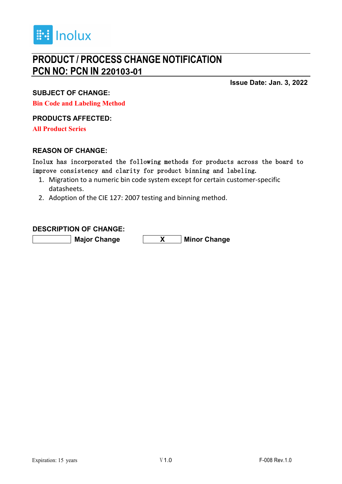

# **PRODUCT / PROCESS CHANGE NOTIFICATION PCN NO: PCN IN 220103-01**

**Issue Date: Jan. 3, 2022**

**SUBJECT OF CHANGE:**

**Bin Code and Labeling Method**

#### **PRODUCTS AFFECTED:**

**All Product Series**

#### **REASON OF CHANGE:**

Inolux has incorporated the following methods for products across the board to improve consistency and clarity for product binning and labeling.

- 1. Migration to a numeric bin code system except for certain customer-specific datasheets.
- 2. Adoption of the CIE 127: 2007 testing and binning method.

#### **DESCRIPTION OF CHANGE:**

**Major Change X Minor Change**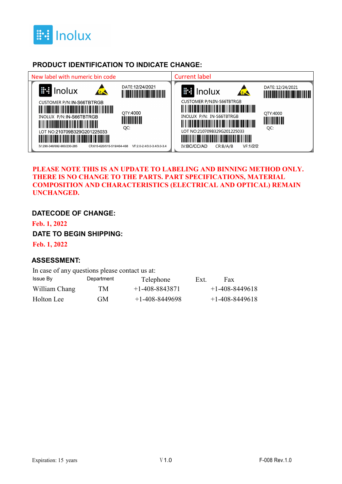

### **PRODUCT IDENTIFICATION TO INDICATE CHANGE:**



#### **PLEASE NOTE THIS IS AN UPDATE TO LABELING AND BINNING METHOD ONLY. THERE IS NO CHANGE TO THE PARTS. PART SPECIFICATIONS, MATERIAL COMPOSITION AND CHARACTERISTICS (ELECTRICAL AND OPTICAL) REMAIN UNCHANGED.**

#### **DATECODE OF CHANGE:**

**Feb. 1, 2022**

#### **DATE TO BEGIN SHIPPING:**

**Feb. 1, 2022**

#### **ASSESSMENT:**

| In case of any questions please contact us at: |            |                      |      |                  |
|------------------------------------------------|------------|----------------------|------|------------------|
| Issue By                                       | Department | Telephone            | Ext. | Fax              |
| William Chang                                  | TM         | $+1 - 408 - 8843871$ |      | $+1-408-8449618$ |
| Holton Lee                                     | GM         | $+1-408-8449698$     |      | $+1-408-8449618$ |